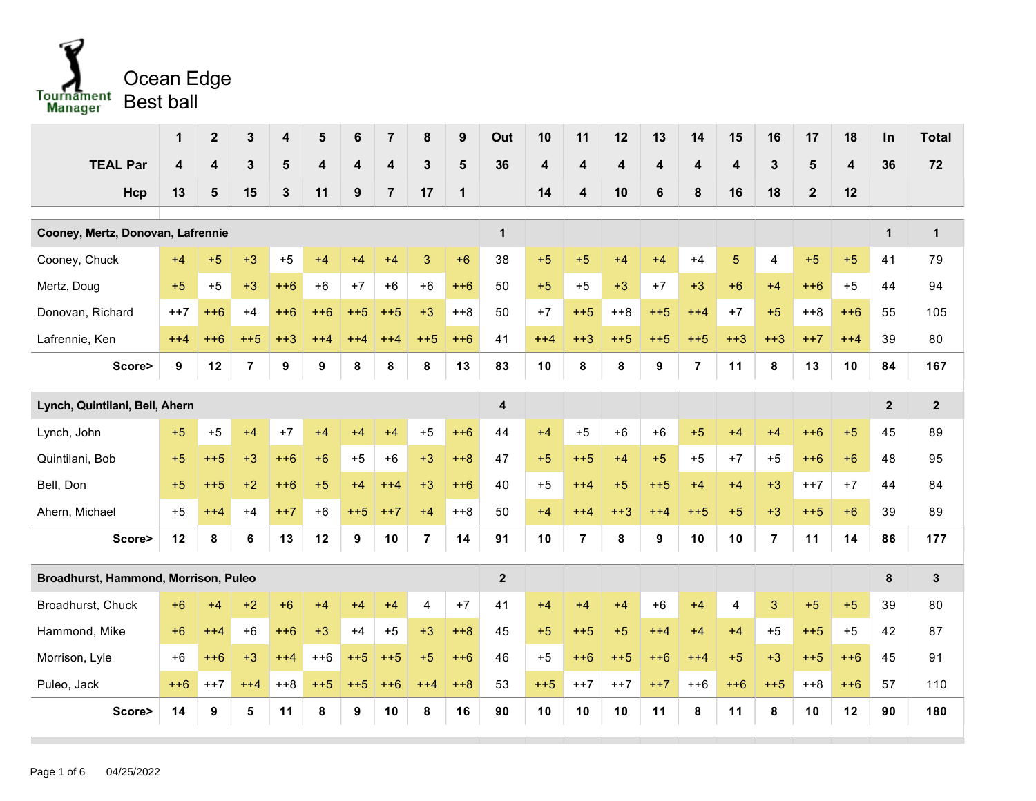

|                                      | 1                       | $\overline{2}$          | 3              | 4              | 5                       | 6     | $\overline{7}$          | 8              | 9              | Out                     | 10              | 11             | 12                      | 13                      | 14                      | 15         | 16             | 17             | 18                      | In             | <b>Total</b>     |
|--------------------------------------|-------------------------|-------------------------|----------------|----------------|-------------------------|-------|-------------------------|----------------|----------------|-------------------------|-----------------|----------------|-------------------------|-------------------------|-------------------------|------------|----------------|----------------|-------------------------|----------------|------------------|
| <b>TEAL Par</b>                      | $\overline{\mathbf{4}}$ | $\overline{\mathbf{4}}$ | 3              | $5\phantom{1}$ | $\overline{\mathbf{4}}$ | 4     | $\overline{\mathbf{4}}$ | 3              | $5\phantom{1}$ | 36                      | 4               | 4              | $\overline{\mathbf{4}}$ | $\overline{\mathbf{4}}$ | $\overline{\mathbf{4}}$ | 4          | $\mathbf{3}$   | $5\phantom{1}$ | $\overline{\mathbf{4}}$ | 36             | 72               |
| Hcp                                  | 13                      | 5                       | 15             | $\mathbf{3}$   | 11                      | 9     | $\overline{7}$          | 17             | $\mathbf{1}$   |                         | 14              | 4              | 10                      | 6                       | 8                       | 16         | 18             | $\mathbf{2}$   | 12                      |                |                  |
| Cooney, Mertz, Donovan, Lafrennie    |                         |                         |                |                |                         |       |                         |                |                | $\mathbf{1}$            |                 |                |                         |                         |                         |            |                |                |                         | $\mathbf{1}$   | $\mathbf{1}$     |
| Cooney, Chuck                        | $+4$                    | $+5$                    | $+3$           | $+5$           | $+4$                    | $+4$  | $+4$                    | $\mathbf{3}$   | $+6$           | 38                      | $+5$            | $+5$           | $+4$                    | $+4$                    | $+4$                    | $\sqrt{5}$ | 4              | $+5$           | $+5$                    | 41             | 79               |
| Mertz, Doug                          | $+5$                    | $+5$                    | $+3$           | $++6$          | $+6$                    | $+7$  | $+6$                    | $+6$           | $++6$          | 50                      | $+5$            | $+5$           | $+3$                    | $+7$                    | $+3$                    | $+6$       | $+4$           | $++6$          | $+5$                    | 44             | 94               |
| Donovan, Richard                     | $++7$                   | $++6$                   | $+4$           | $++6$          | $++6$                   | $++5$ | $++5$                   | $+3$           | $++8$          | 50                      | $+7$            | $++5$          | $++8$                   | $++5$                   | $++4$                   | $+7$       | $+5$           | $+8$           | $++6$                   | 55             | 105              |
| Lafrennie, Ken                       | $++4$                   | $++6$                   | $++5$          | $+3$           | $^{+44}$                | $++4$ | $++4$                   | $++5$          | $++6$          | 41                      | $++4$           | $+3$           | $++5$                   | $++5$                   | $++5$                   | $+3$       | $+3$           | $++7$          | $++4$                   | 39             | 80               |
| Score>                               | 9                       | 12                      | $\overline{7}$ | 9              | 9                       | 8     | 8                       | 8              | 13             | 83                      | 10              | 8              | 8                       | 9                       | $\overline{7}$          | 11         | 8              | 13             | 10                      | 84             | 167              |
|                                      |                         |                         |                |                |                         |       |                         |                |                |                         |                 |                |                         |                         |                         |            |                |                |                         |                |                  |
| Lynch, Quintilani, Bell, Ahern       |                         |                         |                |                |                         |       |                         |                |                | $\overline{\mathbf{4}}$ |                 |                |                         |                         |                         |            |                |                |                         | $\overline{2}$ | $\boldsymbol{2}$ |
| Lynch, John                          | $+5$                    | $+5$                    | $+4$           | $+7$           | $+4$                    | $+4$  | $+4$                    | $+5$           | $++6$          | 44                      | $+4$            | $+5$           | $+6$                    | $+6$                    | $+5$                    | $+4$       | $+4$           | $++6$          | $+5$                    | 45             | 89               |
| Quintilani, Bob                      | $+5$                    | $++5$                   | $+3$           | $++6$          | $+6$                    | $+5$  | $+6$                    | $+3$           | $+8$           | 47                      | $+5$            | $++5$          | $+4$                    | $+5$                    | $+5$                    | $+7$       | $+5$           | $++6$          | $+6$                    | 48             | 95               |
| Bell, Don                            | $+5$                    | $++5$                   | $+2$           | $++6$          | $+5$                    | $+4$  | $++4$                   | $+3$           | $++6$          | 40                      | $+5$            | $++4$          | $+5$                    | $++5$                   | $+4$                    | $+4$       | $+3$           | $++7$          | $+7$                    | 44             | 84               |
| Ahern, Michael                       | $+5$                    | $++4$                   | $+4$           | $++7$          | $+6$                    | $++5$ | $++7$                   | $+4$           | $++8$          | 50                      | $+4$            | $++4$          | $++3$                   | $++4$                   | $++5$                   | $+5$       | $+3$           | $+5$           | $+6$                    | 39             | 89               |
| Score>                               | 12                      | 8                       | 6              | 13             | 12                      | 9     | 10                      | $\overline{7}$ | 14             | 91                      | 10 <sup>1</sup> | $\overline{7}$ | 8                       | 9                       | 10                      | 10         | $\overline{7}$ | 11             | 14                      | 86             | 177              |
| Broadhurst, Hammond, Morrison, Puleo |                         |                         |                |                |                         |       |                         |                |                | $\overline{2}$          |                 |                |                         |                         |                         |            |                |                |                         | 8              | $\mathbf{3}$     |
| Broadhurst, Chuck                    | $+6$                    | $+4$                    | $+2$           | $+6$           | $+4$                    | $+4$  | $+4$                    | $\overline{4}$ | $+7$           | 41                      | $+4$            | $+4$           | $+4$                    | $+6$                    | $+4$                    | 4          | 3              | $+5$           | $+5$                    | 39             | 80               |
| Hammond, Mike                        | $+6$                    | $++4$                   | $+6$           | $++6$          | $+3$                    | $+4$  | $+5$                    | $+3$           | $+8$           | 45                      | $+5$            | $++5$          | $+5$                    | $++4$                   | $+4$                    | $+4$       | $+5$           | $++5$          | $+5$                    | 42             | 87               |
| Morrison, Lyle                       | $+6$                    | $++6$                   | $+3$           | $++4$          | $++6$                   | $+5$  | $++5$                   | $+5$           | $++6$          | 46                      | $+5$            | $++6$          | $++5$                   | $++6$                   | $++4$                   | $+5$       | $+3$           | $+5$           | $++6$                   | 45             | 91               |
| Puleo, Jack                          | $++6$                   | $++7$                   | $++4$          | $++8$          | $++5$                   | $++5$ | $++6$                   | $++4$          | $+8$           | 53                      | $++5$           | $++7$          | $++7$                   | $++7$                   | $++6$                   | $++6$      | $++5$          | $++8$          | $++6$                   | 57             | 110              |
| Score>                               | 14                      | 9                       | 5              | 11             | 8                       | 9     | 10                      | 8              | 16             | 90                      | 10              | 10             | 10                      | 11                      | 8                       | 11         | 8              | 10             | 12                      | 90             | 180              |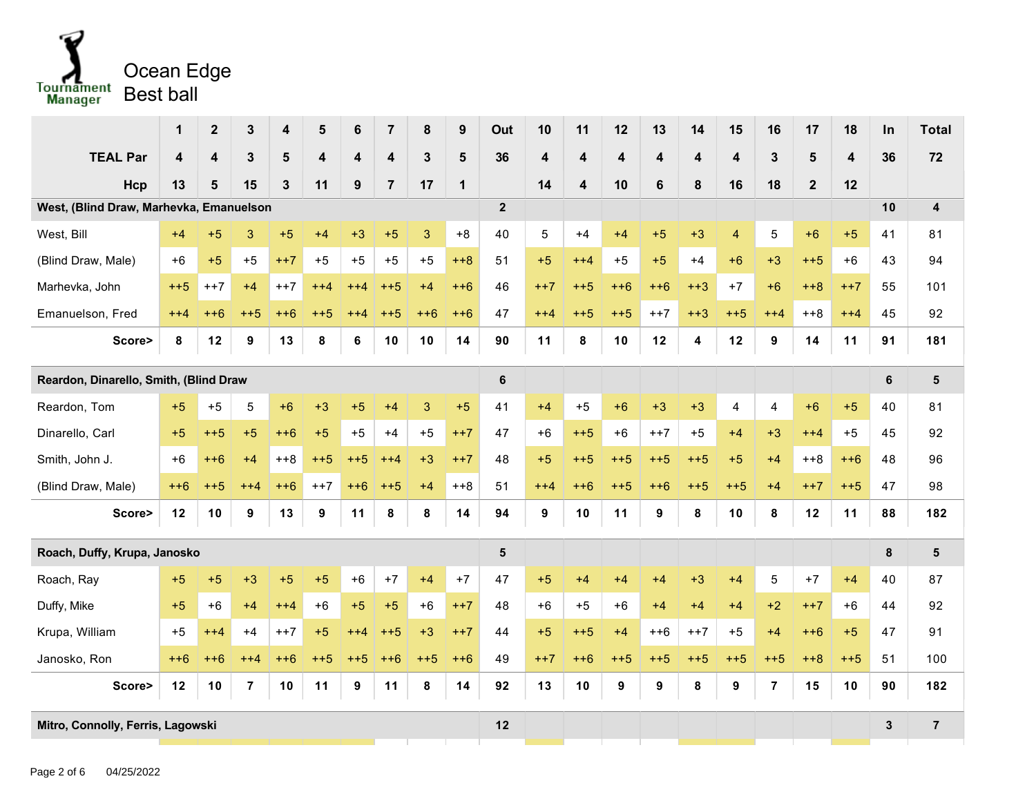

|                                         | 1                                                                             | $\boldsymbol{2}$        | 3              | 4            | 5                       | 6     | $\overline{7}$          | 8            | 9              | Out             | 10                      | 11    | 12    | 13      | 14    | 15                      | 16             | 17           | 18                      | $\ln$        | <b>Total</b>            |
|-----------------------------------------|-------------------------------------------------------------------------------|-------------------------|----------------|--------------|-------------------------|-------|-------------------------|--------------|----------------|-----------------|-------------------------|-------|-------|---------|-------|-------------------------|----------------|--------------|-------------------------|--------------|-------------------------|
| <b>TEAL Par</b>                         | $\overline{\mathbf{4}}$                                                       | $\overline{\mathbf{4}}$ | $\mathbf{3}$   | 5            | $\overline{\mathbf{4}}$ | 4     | $\overline{\mathbf{4}}$ | $\mathbf{3}$ | $5\phantom{1}$ | 36              | $\overline{\mathbf{4}}$ | 4     | 4     | 4       | 4     | $\overline{\mathbf{4}}$ | $\mathbf{3}$   | 5            | $\overline{\mathbf{4}}$ | 36           | 72                      |
| Hcp                                     | 13                                                                            | 5                       | 15             | $\mathbf{3}$ | 11                      | 9     | $\overline{7}$          | 17           | $\mathbf 1$    |                 | 14                      | 4     | 10    | $\bf 6$ | 8     | 16                      | 18             | $\mathbf{2}$ | 12                      |              |                         |
| West, (Blind Draw, Marhevka, Emanuelson |                                                                               |                         |                |              |                         |       |                         |              |                | $\overline{2}$  |                         |       |       |         |       |                         |                |              |                         | 10           | $\overline{\mathbf{4}}$ |
| West, Bill                              | $+4$                                                                          | $+5$                    | 3              | $+5$         | $+4$                    | $+3$  | $+5$                    | 3            | $+8$           | 40              | 5                       | $+4$  | $+4$  | $+5$    | $+3$  | $\overline{4}$          | 5              | $+6$         | $+5$                    | 41           | 81                      |
| (Blind Draw, Male)                      | $+6$                                                                          | $+5$                    | $+5$           | $++7$        | $+5$                    | $+5$  | $+5$                    | $+5$         | $+8$           | 51              | $+5$                    | $++4$ | $+5$  | $+5$    | $+4$  | $+6$                    | $+3$           | $++5$        | $+6$                    | 43           | 94                      |
| Marhevka, John                          | $++5$                                                                         | $++7$                   | $+4$           | $++7$        | $++4$                   | $++4$ | $++5$                   | $+4$         | $++6$          | 46              | $++7$                   | $++5$ | $++6$ | $++6$   | $+3$  | $+7$                    | $+6$           | $+8$         | $++7$                   | 55           | 101                     |
| Emanuelson, Fred                        | $++6$<br>$++5$<br>$++6$<br>$++5$<br>$++6$<br>$++6$<br>$++4$<br>$++5$<br>$++4$ |                         |                |              |                         |       |                         |              |                |                 |                         | $++5$ | $++5$ | $++7$   | $+3$  | $++5$                   | $++4$          | $++8$        | $++4$                   | 45           | 92                      |
| Score>                                  | 8                                                                             | 12                      | 9              | 13           | 8                       | 6     | 10                      | 10           | 14             | 90              | 11                      | 8     | 10    | 12      | 4     | 12                      | 9              | 14           | 11                      | 91           | 181                     |
| Reardon, Dinarello, Smith, (Blind Draw  |                                                                               |                         |                |              |                         |       |                         |              |                | $6\phantom{1}6$ |                         |       |       |         |       |                         |                |              |                         | 6            | 5                       |
| Reardon, Tom                            | $+5$                                                                          | $+5$                    | 5              | $+6$         | $+3$                    | $+5$  | $+4$                    | 3            | $+5$           | 41              | $+4$                    | $+5$  | $+6$  | $+3$    | $+3$  | 4                       | 4              | $+6$         | $+5$                    | 40           | 81                      |
| Dinarello, Carl                         | $+5$                                                                          | $++5$                   | $+5$           | $++6$        | $+5$                    | $+5$  | $+4$                    | $+5$         | $++7$          | 47              | $+6$                    | $+5$  | $+6$  | $++7$   | $+5$  | $+4$                    | $+3$           | $++4$        | $+5$                    | 45           | 92                      |
| Smith, John J.                          | $+6$                                                                          | $++6$                   | $+4$           | $+8$         | $++5$                   | $++5$ | $++4$                   | $+3$         | $++7$          | 48              | $+5$                    | $++5$ | $++5$ | $+5$    | $++5$ | $+5$                    | $+4$           | $++8$        | $++6$                   | 48           | 96                      |
| (Blind Draw, Male)                      | $++6$                                                                         | $++5$                   | $++4$          | $++6$        | $++7$                   | $++6$ | $++5$                   | $+4$         | $++8$          | 51              | $++4$                   | $++6$ | $++5$ | $++6$   | $++5$ | $++5$                   | $+4$           | $++7$        | $++5$                   | 47           | 98                      |
| Score>                                  | 12                                                                            | 10                      | 9              | 13           | 9                       | 11    | 8                       | 8            | 14             | 94              | 9                       | 10    | 11    | 9       | 8     | 10                      | 8              | 12           | 11                      | 88           | 182                     |
| Roach, Duffy, Krupa, Janosko            |                                                                               |                         |                |              |                         |       |                         |              |                | 5               |                         |       |       |         |       |                         |                |              |                         | 8            | $\overline{\mathbf{5}}$ |
| Roach, Ray                              | $+5$                                                                          | $+5$                    | $+3$           | $+5$         | $+5$                    | $+6$  | $+7$                    | $+4$         | $+7$           | 47              | $+5$                    | $+4$  | $+4$  | $+4$    | $+3$  | $+4$                    | 5              | $+7$         | $+4$                    | 40           | 87                      |
| Duffy, Mike                             | $+5$                                                                          | $+6$                    | $+4$           | $++4$        | $+6$                    | $+5$  | $+5$                    | $+6$         | $++7$          | 48              | $+6$                    | $+5$  | $+6$  | $+4$    | $+4$  | $+4$                    | $+2$           | $++7$        | $+6$                    | 44           | 92                      |
| Krupa, William                          | $+5$                                                                          | $++4$                   | $+4$           | $++7$        | $+5$                    | $++4$ | $++5$                   | $+3$         | $++7$          | 44              | $+5$                    | $++5$ | $+4$  | $++6$   | $++7$ | $+5$                    | $+4$           | $++6$        | $+5$                    | 47           | 91                      |
| Janosko, Ron                            | $++6$                                                                         | $++6$                   | $^{+44}$       | $++6$        | $++5$                   | $++5$ | $++6$                   | $++5$        | $++6$          | 49              | $++7$                   | $++6$ | $++5$ | $++5$   | $++5$ | $++5$                   | $++5$          | $++8$        | $++5$                   | 51           | 100                     |
| Score>                                  | 12                                                                            | 10                      | $\overline{7}$ | 10           | 11                      | 9     | 11                      | 8            | 14             | 92              | 13                      | 10    | 9     | 9       | 8     | 9                       | $\overline{7}$ | 15           | 10                      | 90           | 182                     |
| Mitro, Connolly, Ferris, Lagowski       |                                                                               |                         |                |              |                         |       |                         |              |                |                 |                         |       |       |         |       |                         |                |              |                         | $\mathbf{3}$ | $\overline{7}$          |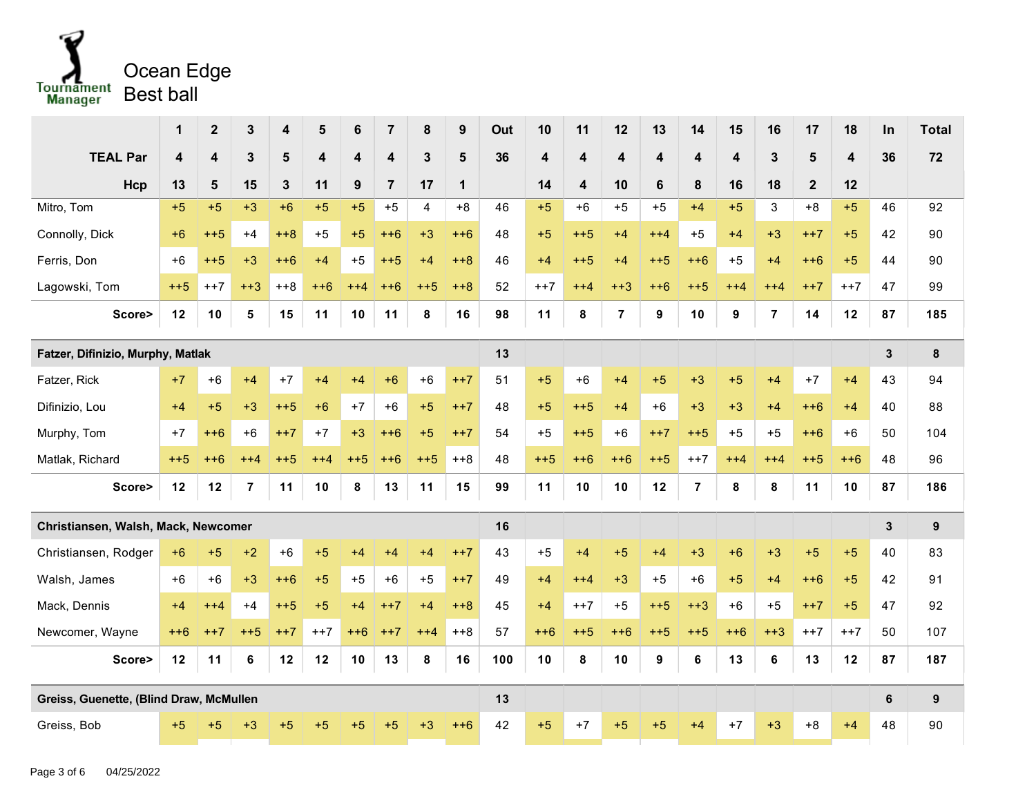

|                                         | 1     | $\overline{\mathbf{2}}$ | 3              | 4            | 5     | 6     | $\overline{7}$          | 8     | $\boldsymbol{9}$ | Out | 10                      | 11                      | 12             | 13               | 14             | 15    | 16             | 17             | 18                      | In | <b>Total</b>     |
|-----------------------------------------|-------|-------------------------|----------------|--------------|-------|-------|-------------------------|-------|------------------|-----|-------------------------|-------------------------|----------------|------------------|----------------|-------|----------------|----------------|-------------------------|----|------------------|
| <b>TEAL Par</b>                         | 4     | 4                       | 3              | 5            | 4     | 4     | $\overline{\mathbf{4}}$ | 3     | $5\phantom{1}$   | 36  | $\overline{\mathbf{4}}$ | $\overline{\mathbf{4}}$ | 4              | 4                | 4              | 4     | 3              | $5\phantom{1}$ | $\overline{\mathbf{4}}$ | 36 | 72               |
| Hcp                                     | 13    | 5                       | 15             | $\mathbf{3}$ | 11    | 9     | $\overline{7}$          | 17    | $\mathbf 1$      |     | 14                      | 4                       | 10             | 6                | 8              | 16    | 18             | $\overline{2}$ | 12                      |    |                  |
| Mitro, Tom                              | $+5$  | $+5$                    | $+3$           | $+6$         | $+5$  | $+5$  | $+5$                    | 4     | $+8$             | 46  | $+5$                    | $+6$                    | $+5$           | $+5$             | $+4$           | $+5$  | 3              | $+8$           | $+5$                    | 46 | 92               |
| Connolly, Dick                          | $+6$  | $++5$                   | $+4$           | $+8$         | $+5$  | $+5$  | $++6$                   | $+3$  | $++6$            | 48  | $+5$                    | $++5$                   | $+4$           | $++4$            | $+5$           | $+4$  | $+3$           | $++7$          | $+5$                    | 42 | 90               |
| Ferris, Don                             | $+6$  | $++5$                   | $+3$           | $++6$        | $+4$  | $+5$  | $++5$                   | $+4$  | $+8$             | 46  | $+4$                    | $++5$                   | $+4$           | $++5$            | $++6$          | $+5$  | $+4$           | $++6$          | $+5$                    | 44 | 90               |
| Lagowski, Tom                           | $++5$ | $++7$                   | $++3$          | $++8$        | $++6$ | $++4$ | $++6$                   | $++5$ | $+8$             | 52  | $++7$                   | $++4$                   | $+3$           | $++6$            | $++5$          | $++4$ | $++4$          | $++7$          | $++7$                   | 47 | 99               |
| Score>                                  | 12    | 10                      | 5              | 15           | 11    | 10    | 11                      | 8     | 16               | 98  | 11                      | 8                       | $\overline{7}$ | $\boldsymbol{9}$ | 10             | 9     | $\overline{7}$ | 14             | 12                      | 87 | 185              |
| Fatzer, Difinizio, Murphy, Matlak       |       |                         |                |              |       |       |                         |       |                  | 13  |                         |                         |                |                  |                |       |                |                |                         | 3  | 8                |
| Fatzer, Rick                            | $+7$  | $+6$                    | $+4$           | $+7$         | $+4$  | $+4$  | $+6$                    | $+6$  | $++7$            | 51  | $+5$                    | $+6$                    | $+4$           | $+5$             | $+3$           | $+5$  | $+4$           | $+7$           | $+4$                    | 43 | 94               |
| Difinizio, Lou                          | $+4$  | $+5$                    | $+3$           | $++5$        | $+6$  | $+7$  | $+6$                    | $+5$  | $++7$            | 48  | $+5$                    | $++5$                   | $+4$           | $+6$             | $+3$           | $+3$  | $+4$           | $++6$          | $+4$                    | 40 | 88               |
| Murphy, Tom                             | $+7$  | $++6$                   | $+6$           | $++7$        | $+7$  | $+3$  | $++6$                   | $+5$  | $++7$            | 54  | $+5$                    | $++5$                   | $+6$           | $++7$            | $++5$          | $+5$  | $+5$           | $++6$          | $+6$                    | 50 | 104              |
| Matlak, Richard                         | $++5$ | $++6$                   | $++4$          | $++5$        | $++4$ | $++5$ | $++6$                   | $+5$  | $++8$            | 48  | $++5$                   | $++6$                   | $++6$          | $++5$            | $++7$          | $++4$ | $++4$          | $++5$          | $++6$                   | 48 | 96               |
| Score>                                  | 12    | 12                      | $\overline{7}$ | 11           | 10    | 8     | 13                      | 11    | 15               | 99  | 11                      | 10                      | 10             | 12               | $\overline{7}$ | 8     | 8              | 11             | 10                      | 87 | 186              |
| Christiansen, Walsh, Mack, Newcomer     |       |                         |                |              |       |       |                         |       |                  | 16  |                         |                         |                |                  |                |       |                |                |                         | 3  | 9                |
| Christiansen, Rodger                    | $+6$  | $+5$                    | $+2$           | $+6$         | $+5$  | $+4$  | $+4$                    | $+4$  | $++7$            | 43  | $+5$                    | $+4$                    | $+5$           | $+4$             | $+3$           | $+6$  | $+3$           | $+5$           | $+5$                    | 40 | 83               |
| Walsh, James                            | $+6$  | $+6$                    | $+3$           | $++6$        | $+5$  | $+5$  | $+6$                    | $+5$  | $++7$            | 49  | $+4$                    | $++4$                   | $+3$           | $+5$             | $+6$           | $+5$  | $+4$           | $++6$          | $+5$                    | 42 | 91               |
| Mack, Dennis                            | $+4$  | $++4$                   | $+4$           | $++5$        | $+5$  | $+4$  | $++7$                   | $+4$  | $++8$            | 45  | $+4$                    | $++7$                   | $+5$           | $++5$            | $+3$           | $+6$  | $+5$           | $++7$          | $+5$                    | 47 | 92               |
| Newcomer, Wayne                         | $++6$ | $++7$                   | $++5$          | $++7$        | $++7$ | $++6$ | $++7$                   | $++4$ | $+8$             | 57  | $++6$                   | $+5$                    | $++6$          | $++5$            | $++5$          | $++6$ | $+3$           | $++7$          | $++7$                   | 50 | 107              |
| Score>                                  | 12    | 11                      | 6              | 12           | 12    | 10    | 13                      | 8     | 16               | 100 | 10                      | 8                       | 10             | 9                | 6              | 13    | 6              | 13             | 12                      | 87 | 187              |
| Greiss, Guenette, (Blind Draw, McMullen |       |                         |                |              |       |       |                         |       |                  | 13  |                         |                         |                |                  |                |       |                |                |                         | 6  | $\boldsymbol{9}$ |
| Greiss, Bob                             | $+5$  | $+5$                    | $+3$           | $+5$         | $+5$  | $+5$  | $+5$                    | $+3$  | $++6$            | 42  | $+5$                    | $+7$                    | $+5$           | $+5$             | $+4$           | $+7$  | $+3$           | $+8$           | $+4$                    | 48 | 90               |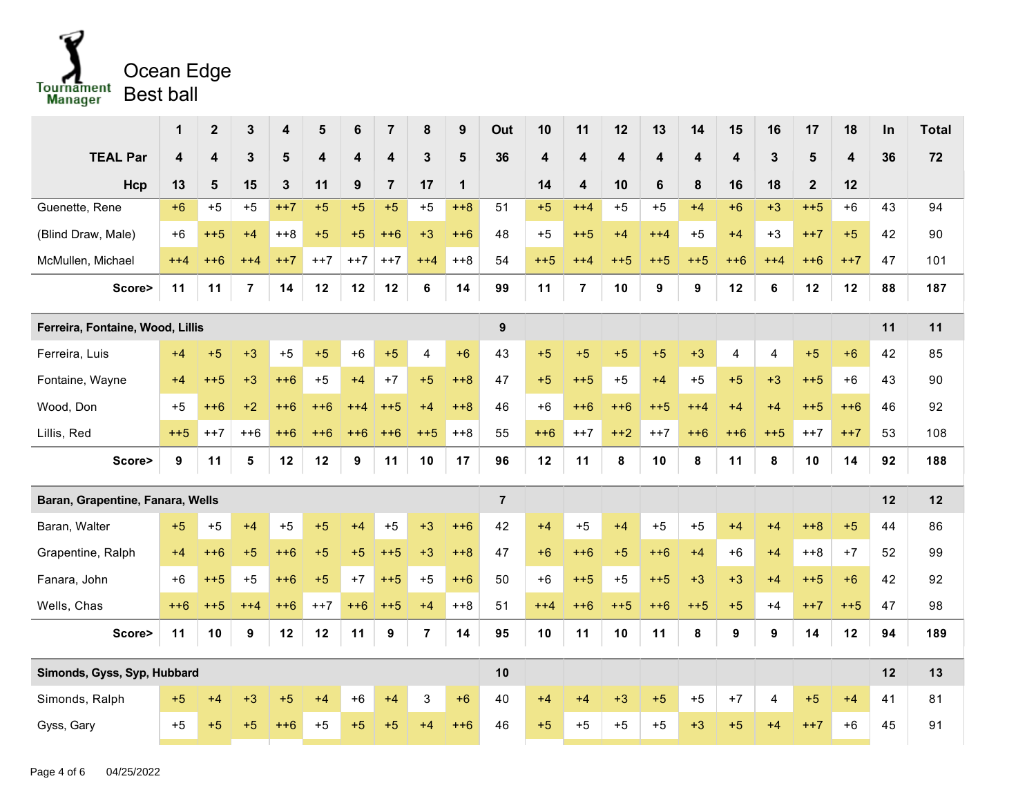

|                                  | 1     | $\boldsymbol{2}$        | $\mathbf{3}$     | 4            | 5                       | 6     | $\overline{7}$          | 8              | $\boldsymbol{9}$ | Out            | 10                      | 11                      | 12    | 13                      | 14                      | 15                      | 16    | 17             | 18                      | In | <b>Total</b> |
|----------------------------------|-------|-------------------------|------------------|--------------|-------------------------|-------|-------------------------|----------------|------------------|----------------|-------------------------|-------------------------|-------|-------------------------|-------------------------|-------------------------|-------|----------------|-------------------------|----|--------------|
| <b>TEAL Par</b>                  | 4     | $\overline{\mathbf{4}}$ | 3                | 5            | $\overline{\mathbf{4}}$ | 4     | $\overline{\mathbf{4}}$ | $\mathbf{3}$   | 5                | 36             | $\overline{\mathbf{4}}$ | $\overline{\mathbf{4}}$ | 4     | $\overline{\mathbf{4}}$ | $\overline{\mathbf{4}}$ | $\overline{\mathbf{4}}$ | 3     | $5\phantom{1}$ | $\overline{\mathbf{4}}$ | 36 | 72           |
| Hcp                              | 13    | 5                       | 15               | $\mathbf{3}$ | 11                      | 9     | $\overline{7}$          | 17             | $\mathbf 1$      |                | 14                      | 4                       | 10    | $6\phantom{1}$          | 8                       | 16                      | 18    | $\overline{2}$ | 12                      |    |              |
| Guenette, Rene                   | $+6$  | $+5$                    | $+5$             | $++7$        | $+5$                    | $+5$  | $+5$                    | $+5$           | $++8$            | 51             | $+5$                    | $++4$                   | $+5$  | $+5$                    | $+4$                    | $+6$                    | $+3$  | $++5$          | $+6$                    | 43 | 94           |
| (Blind Draw, Male)               | $+6$  | $++5$                   | $+4$             | $++8$        | $+5$                    | $+5$  | $++6$                   | $+3$           | $++6$            | 48             | $+5$                    | $++5$                   | $+4$  | $++4$                   | $+5$                    | $+4$                    | $+3$  | $++7$          | $+5$                    | 42 | 90           |
| McMullen, Michael                | $++4$ | $++6$                   | $++4$            | $++7$        | $++7$                   | $++7$ | $++7$                   | $++4$          | $+8$             | 54             | $++5$                   | $++4$                   | $++5$ | $++5$                   | $++5$                   | $++6$                   | $++4$ | $++6$          | $++7$                   | 47 | 101          |
| Score>                           | 11    | 11                      | 7                | 14           | 12                      | 12    | 12                      | 6              | 14               | 99             | 11                      | $\overline{7}$          | 10    | 9                       | 9                       | 12                      | 6     | 12             | 12                      | 88 | 187          |
| Ferreira, Fontaine, Wood, Lillis |       |                         |                  |              |                         |       |                         |                |                  | 9              |                         |                         |       |                         |                         |                         |       |                |                         | 11 | 11           |
| Ferreira, Luis                   | $+4$  | $+5$                    | $+3$             | $+5$         | $+5$                    | $+6$  | $+5$                    | $\overline{4}$ | $+6$             | 43             | $+5$                    | $+5$                    | $+5$  | $+5$                    | $+3$                    | 4                       | 4     | $+5$           | $+6$                    | 42 | 85           |
| Fontaine, Wayne                  | $+4$  | $++5$                   | $+3$             | $++6$        | $+5$                    | $+4$  | $+7$                    | $+5$           | $+8$             | 47             | $+5$                    | $++5$                   | $+5$  | $+4$                    | $+5$                    | $+5$                    | $+3$  | $++5$          | $+6$                    | 43 | 90           |
| Wood, Don                        | $+5$  | $++6$                   | $+2$             | $++6$        | $++6$                   | $++4$ | $++5$                   | $+4$           | $+8$             | 46             | $+6$                    | $++6$                   | $++6$ | $++5$                   | $++4$                   | $+4$                    | $+4$  | $++5$          | $++6$                   | 46 | 92           |
| Lillis, Red                      | $++5$ | $++7$                   | $++6$            | $++6$        | $++6$                   | $++6$ | $++6$                   | $++5$          | $++8$            | 55             | $++6$                   | $++7$                   | $++2$ | $++7$                   | $++6$                   | $++6$                   | $++5$ | $++7$          | $++7$                   | 53 | 108          |
| Score>                           | 9     | 11                      | 5                | 12           | 12                      | 9     | 11                      | 10             | 17               | 96             | 12                      | 11                      | 8     | 10                      | 8                       | 11                      | 8     | 10             | 14                      | 92 | 188          |
| Baran, Grapentine, Fanara, Wells |       |                         |                  |              |                         |       |                         |                |                  | $\overline{7}$ |                         |                         |       |                         |                         |                         |       |                |                         | 12 | 12           |
| Baran, Walter                    | $+5$  | $+5$                    | $+4$             | $+5$         | $+5$                    | $+4$  | $+5$                    | $+3$           | $++6$            | 42             | $+4$                    | $+5$                    | $+4$  | $+5$                    | $+5$                    | $+4$                    | $+4$  | $+8$           | $+5$                    | 44 | 86           |
| Grapentine, Ralph                | $+4$  | $++6$                   | $+5$             | $++6$        | $+5$                    | $+5$  | $++5$                   | $+3$           | $+8$             | 47             | $+6$                    | $++6$                   | $+5$  | $++6$                   | $+4$                    | $+6$                    | $+4$  | $+8$           | $+7$                    | 52 | 99           |
| Fanara, John                     | $+6$  | $++5$                   | $+5$             | $++6$        | $+5$                    | $+7$  | $++5$                   | $+5$           | $++6$            | 50             | $+6$                    | $++5$                   | $+5$  | $++5$                   | $+3$                    | $+3$                    | $+4$  | $++5$          | $+6$                    | 42 | 92           |
| Wells, Chas                      | $++6$ | $++5$                   | $++4$            | $++6$        | $++7$                   | $++6$ | $++5$                   | $+4$           | $+8$             | 51             | $++4$                   | $++6$                   | $++5$ | $++6$                   | $++5$                   | $+5$                    | $+4$  | $++7$          | $++5$                   | 47 | 98           |
| Score>                           | 11    | 10                      | $\boldsymbol{9}$ | 12           | 12                      | 11    | 9                       | $\overline{7}$ | 14               | 95             | 10                      | 11                      | 10    | 11                      | 8                       | 9                       | 9     | 14             | 12                      | 94 | 189          |
| Simonds, Gyss, Syp, Hubbard      |       |                         |                  |              |                         |       |                         |                |                  | 10             |                         |                         |       |                         |                         |                         |       |                |                         | 12 | 13           |
| Simonds, Ralph                   | $+5$  | $+4$                    | $+3$             | $+5$         | $+4$                    | +6    | $+4$                    | 3              | $+6$             | 40             | $+4$                    | $+4$                    | $+3$  | $+5$                    | $+5$                    | $+7$                    | 4     | $+5$           | $+4$                    | 41 | 81           |
| Gyss, Gary                       | $+5$  | $+5$                    | $+5$             | $++6$        | $+5$                    | $+5$  | $+5$                    | $+4$           | $++6$            | 46             | $+5$                    | $+5$                    | $+5$  | $+5$                    | $+3$                    | $+5$                    | $+4$  | $++7$          | $+6$                    | 45 | 91           |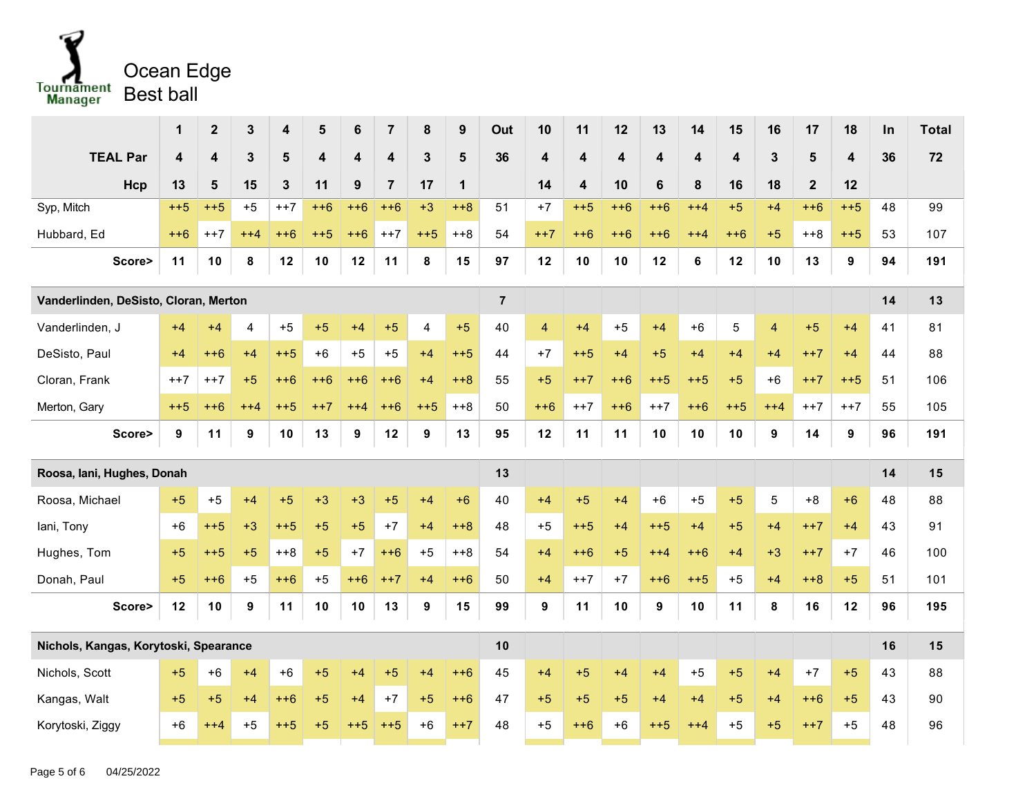

|                                       | 1                       | $\mathbf{2}$            | 3        | 4            | $5\phantom{1}$          | 6     | $\overline{7}$          | 8              | $\boldsymbol{9}$ | Out            | 10    | 11                      | 12                      | 13      | 14                      | 15                      | 16                      | 17             | 18                      | In | <b>Total</b> |
|---------------------------------------|-------------------------|-------------------------|----------|--------------|-------------------------|-------|-------------------------|----------------|------------------|----------------|-------|-------------------------|-------------------------|---------|-------------------------|-------------------------|-------------------------|----------------|-------------------------|----|--------------|
| <b>TEAL Par</b>                       | $\overline{\mathbf{4}}$ | $\overline{\mathbf{4}}$ | 3        | 5            | $\overline{\mathbf{4}}$ | 4     | $\overline{\mathbf{4}}$ | 3              | 5                | 36             | 4     | 4                       | $\overline{\mathbf{4}}$ | 4       | $\overline{\mathbf{4}}$ | $\overline{\mathbf{4}}$ | 3                       | $5\phantom{1}$ | $\overline{\mathbf{4}}$ | 36 | 72           |
| Hcp                                   | 13                      | 5                       | 15       | $\mathbf{3}$ | 11                      | 9     | $\overline{7}$          | 17             | $\mathbf 1$      |                | 14    | $\overline{\mathbf{4}}$ | 10                      | $\bf 6$ | 8                       | 16                      | 18                      | $\mathbf{2}$   | 12                      |    |              |
| Syp, Mitch                            | $++5$                   | $++5$                   | $+5$     | $++7$        | $++6$                   | $++6$ | $++6$                   | $+3$           | $+8$             | 51             | $+7$  | $++5$                   | $++6$                   | $++6$   | $++4$                   | $+5$                    | $+4$                    | $++6$          | $++5$                   | 48 | 99           |
| Hubbard, Ed                           | $++6$                   | $++7$                   | $++4$    | $++6$        | $++5$                   | $++6$ | $++7$                   | $++5$          | $++8$            | 54             | $++7$ | $++6$                   | $++6$                   | $++6$   | $++4$                   | $++6$                   | $+5$                    | $++8$          | $++5$                   | 53 | 107          |
| Score>                                | 11                      | 10                      | 8        | 12           | 10                      | 12    | 11                      | 8              | 15               | 97             | 12    | 10                      | 10                      | 12      | 6                       | 12                      | 10                      | 13             | 9                       | 94 | 191          |
| Vanderlinden, DeSisto, Cloran, Merton |                         |                         |          |              |                         |       |                         |                |                  | $\overline{7}$ |       |                         |                         |         |                         |                         |                         |                |                         | 14 | 13           |
| Vanderlinden, J                       | $+4$                    | $+4$                    | 4        | $+5$         | $+5$                    | $+4$  | $+5$                    | $\overline{4}$ | $+5$             | 40             | 4     | $+4$                    | $+5$                    | $+4$    | $+6$                    | $\mathbf 5$             | $\overline{\mathbf{4}}$ | $+5$           | $+4$                    | 41 | 81           |
| DeSisto, Paul                         | $+4$                    | $++6$                   | $+4$     | $++5$        | $+6$                    | $+5$  | $+5$                    | $+4$           | $++5$            | 44             | $+7$  | $++5$                   | $+4$                    | $+5$    | $+4$                    | $+4$                    | $+4$                    | $++7$          | $+4$                    | 44 | 88           |
| Cloran, Frank                         | $++7$                   | $++7$                   | $+5$     | $++6$        | $++6$                   | $++6$ | $++6$                   | $+4$           | $+8$             | 55             | $+5$  | $++7$                   | $++6$                   | $++5$   | $++5$                   | $+5$                    | $+6$                    | $++7$          | $++5$                   | 51 | 106          |
| Merton, Gary                          | $++5$                   | $++6$                   | $^{+44}$ | $++5$        | $^{++7}$                | $++4$ | $++6$                   | $++5$          | $++8$            | 50             | $++6$ | $++7$                   | $++6$                   | $++7$   | $++6$                   | $++5$                   | $++4$                   | $++7$          | $++7$                   | 55 | 105          |
| Score>                                | 9                       | 11                      | 9        | 10           | 13                      | 9     | 12                      | 9              | 13               | 95             | 12    | 11                      | 11                      | 10      | 10                      | 10                      | 9                       | 14             | 9                       | 96 | 191          |
| Roosa, Iani, Hughes, Donah            |                         |                         |          |              |                         |       |                         |                |                  | 13             |       |                         |                         |         |                         |                         |                         |                |                         | 14 | 15           |
| Roosa, Michael                        | $+5$                    | $+5$                    | $+4$     | $+5$         | $+3$                    | $+3$  | $+5$                    | $+4$           | $+6$             | 40             | $+4$  | $+5$                    | $+4$                    | $+6$    | $+5$                    | $+5$                    | $5\phantom{.0}$         | $+8$           | $+6$                    | 48 | 88           |
| lani, Tony                            | $+6$                    | $++5$                   | $+3$     | $++5$        | $+5$                    | $+5$  | $+7$                    | $+4$           | $+8$             | 48             | $+5$  | $++5$                   | $+4$                    | $++5$   | $+4$                    | $+5$                    | $+4$                    | $++7$          | $+4$                    | 43 | 91           |
| Hughes, Tom                           | $+5$                    | $++5$                   | $+5$     | $+8$         | $+5$                    | $+7$  | $++6$                   | $+5$           | $++8$            | 54             | $+4$  | $++6$                   | $+5$                    | $++4$   | $++6$                   | $+4$                    | $+3$                    | $++7$          | $+7$                    | 46 | 100          |
| Donah, Paul                           | $+5$                    | $++6$                   | $+5$     | $++6$        | $+5$                    | $++6$ | $++7$                   | $+4$           | $++6$            | 50             | $+4$  | $++7$                   | $+7$                    | $++6$   | $++5$                   | $+5$                    | $+4$                    | $+8$           | $+5$                    | 51 | 101          |
| Score>                                | 12                      | 10                      | 9        | 11           | 10                      | 10    | 13                      | 9              | 15               | 99             | 9     | 11                      | 10                      | 9       | 10                      | 11                      | 8                       | 16             | 12                      | 96 | 195          |
| Nichols, Kangas, Korytoski, Spearance |                         |                         |          |              |                         |       |                         |                |                  | 10             |       |                         |                         |         |                         |                         |                         |                |                         | 16 | 15           |
| Nichols, Scott                        | $+5$                    | $+6$                    | $+4$     | $+6$         | $+5$                    | $+4$  | $+5$                    | $+4$           | $++6$            | 45             | $+4$  | $+5$                    | $+4$                    | $+4$    | $+5$                    | $+5$                    | $+4$                    | $+7$           | $+5$                    | 43 | 88           |
| Kangas, Walt                          | $+5$                    | $+5$                    | $+4$     | $++6$        | $+5$                    | $+4$  | $+7$                    | $+5$           | $++6$            | 47             | $+5$  | $+5$                    | $+5$                    | $+4$    | $+4$                    | $+5$                    | $+4$                    | $++6$          | $+5$                    | 43 | 90           |
| Korytoski, Ziggy                      | $+6$                    | $++4$                   | $+5$     | $++5$        | $+5$                    | $++5$ | $++5$                   | $+6$           | $++7$            | 48             | $+5$  | $++6$                   | $+6$                    | $++5$   | $++4$                   | $+5$                    | $+5$                    | $++7$          | $+5$                    | 48 | 96           |